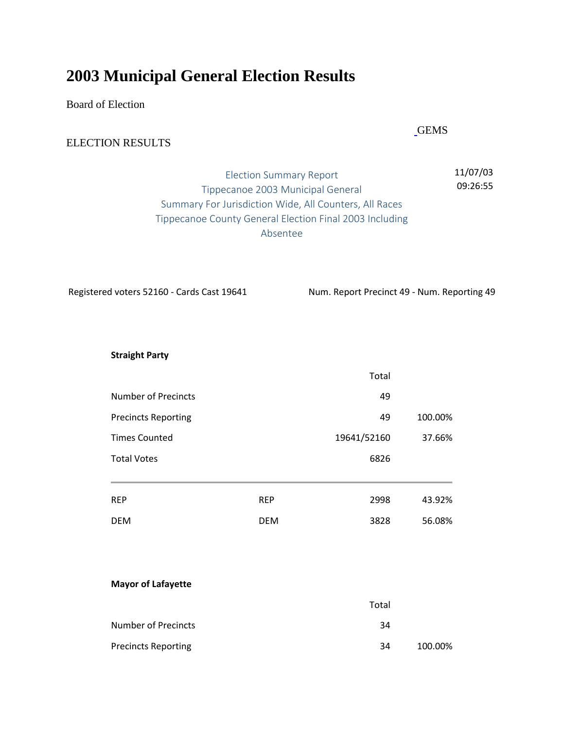# **2003 Municipal General Election Results**

Board of Election

## ELECTION RESULTS

## Election Summary Report Tippecanoe 2003 Municipal General Summary For Jurisdiction Wide, All Counters, All Races Tippecanoe County General Election Final 2003 Including Absentee

Registered voters 52160 - Cards Cast 19641 Num. Report Precinct 49 - Num. Reporting 49

**Straight Party**

|                            |            | Total       |         |
|----------------------------|------------|-------------|---------|
| <b>Number of Precincts</b> |            | 49          |         |
| <b>Precincts Reporting</b> |            | 49          | 100.00% |
| <b>Times Counted</b>       |            | 19641/52160 | 37.66%  |
| <b>Total Votes</b>         |            | 6826        |         |
|                            |            |             |         |
| <b>REP</b>                 | <b>REP</b> | 2998        | 43.92%  |
| <b>DEM</b>                 | <b>DEM</b> | 3828        | 56.08%  |

#### **Mayor of Lafayette**

|                            | Total |         |
|----------------------------|-------|---------|
| Number of Precincts        | 34    |         |
| <b>Precincts Reporting</b> | 34    | 100.00% |

[G](http://www.tippecanoe.in.gov/egov/apps/document/past_results.htm)EMS

11/07/03 09:26:55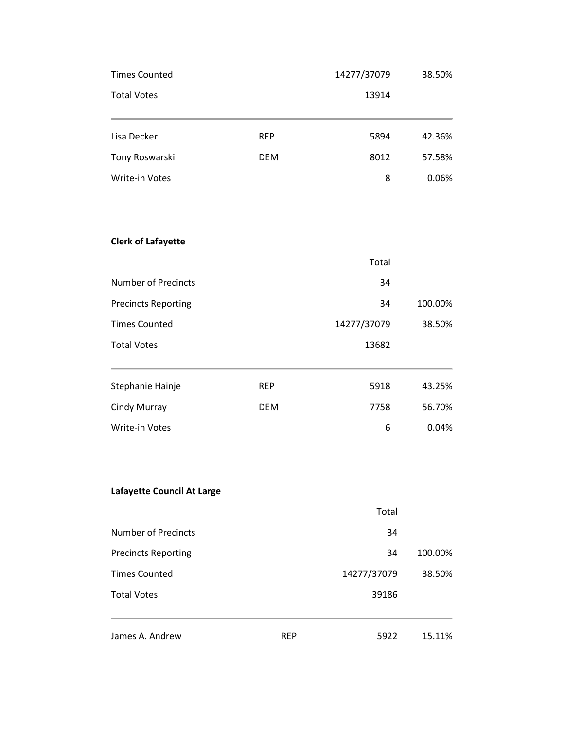| James A. Andrew            | <b>REP</b> | 5922                  | 15.11%  |  |
|----------------------------|------------|-----------------------|---------|--|
| <b>Total Votes</b>         |            | 39186                 |         |  |
| <b>Times Counted</b>       |            | 14277/37079           | 38.50%  |  |
| <b>Precincts Reporting</b> |            | 34                    | 100.00% |  |
| <b>Number of Precincts</b> |            | 34                    |         |  |
|                            |            | Total                 |         |  |
| Lafayette Council At Large |            |                       |         |  |
| Write-in Votes             |            | 6                     | 0.04%   |  |
| Cindy Murray               | <b>DEM</b> | 7758                  | 56.70%  |  |
| Stephanie Hainje           | <b>REP</b> | 5918                  | 43.25%  |  |
| <b>Total Votes</b>         |            | 13682                 |         |  |
| <b>Times Counted</b>       |            | 14277/37079           | 38.50%  |  |
| <b>Precincts Reporting</b> |            | 34                    | 100.00% |  |
| <b>Number of Precincts</b> |            | 34                    |         |  |
| <b>Clerk of Lafayette</b>  |            | Total                 |         |  |
|                            |            |                       |         |  |
| Write-in Votes             |            | 8                     | 0.06%   |  |
| Tony Roswarski             | <b>DEM</b> | 8012                  | 57.58%  |  |
| Lisa Decker                | <b>REP</b> | 5894                  | 42.36%  |  |
| <b>Total Votes</b>         |            | 13914                 |         |  |
| <b>Times Counted</b>       |            | 14277/37079<br>38.50% |         |  |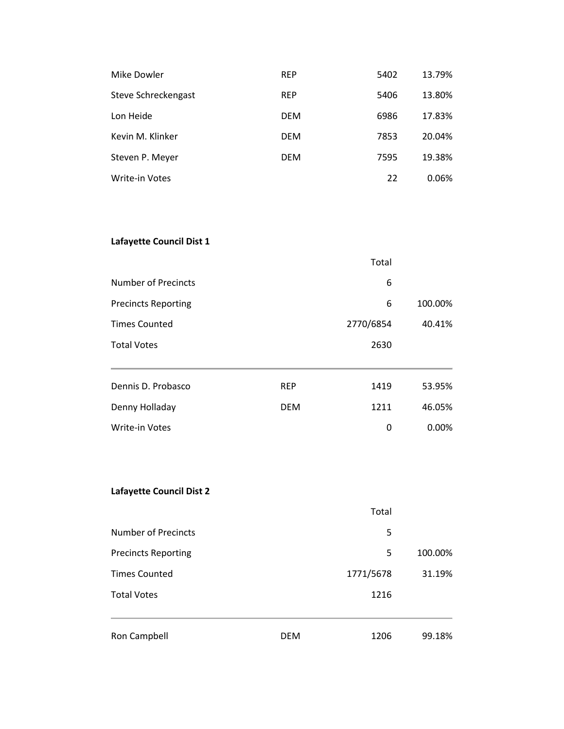| Mike Dowler         | <b>REP</b> | 5402 | 13.79% |
|---------------------|------------|------|--------|
| Steve Schreckengast | <b>REP</b> | 5406 | 13.80% |
| Lon Heide           | <b>DEM</b> | 6986 | 17.83% |
| Kevin M. Klinker    | <b>DEM</b> | 7853 | 20.04% |
| Steven P. Meyer     | <b>DEM</b> | 7595 | 19.38% |
| Write-in Votes      |            | 22   | 0.06%  |

## **Lafayette Council Dist 1**

|                            |            | Total     |         |
|----------------------------|------------|-----------|---------|
| <b>Number of Precincts</b> |            | 6         |         |
| <b>Precincts Reporting</b> |            | 6         | 100.00% |
| <b>Times Counted</b>       |            | 2770/6854 | 40.41%  |
| <b>Total Votes</b>         |            | 2630      |         |
| Dennis D. Probasco         | <b>REP</b> | 1419      | 53.95%  |
| Denny Holladay             | <b>DEM</b> | 1211      | 46.05%  |
| <b>Write-in Votes</b>      |            | 0         | 0.00%   |

#### **Lafayette Council Dist 2**

| Ron Campbell               | <b>DEM</b> | 1206      | 99.18%  |
|----------------------------|------------|-----------|---------|
| <b>Total Votes</b>         |            | 1216      |         |
| <b>Times Counted</b>       |            | 1771/5678 | 31.19%  |
| <b>Precincts Reporting</b> |            | 5         | 100.00% |
| Number of Precincts        |            | 5         |         |
|                            |            | Total     |         |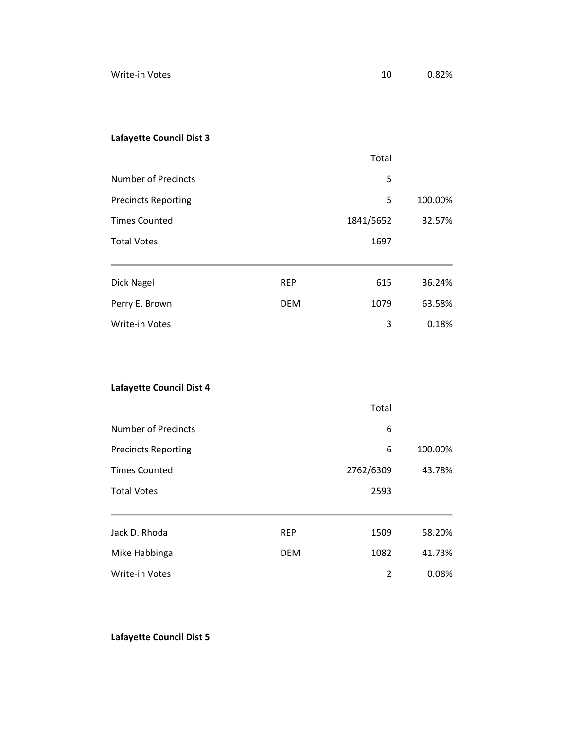## **Lafayette Council Dist 3**

|                            |            | Total     |         |
|----------------------------|------------|-----------|---------|
| Number of Precincts        |            | 5         |         |
| <b>Precincts Reporting</b> |            | 5         | 100.00% |
| <b>Times Counted</b>       |            | 1841/5652 | 32.57%  |
| <b>Total Votes</b>         |            | 1697      |         |
| Dick Nagel                 | <b>REP</b> | 615       | 36.24%  |
| Perry E. Brown             | <b>DEM</b> | 1079      | 63.58%  |
| <b>Write-in Votes</b>      |            | 3         | 0.18%   |

## **Lafayette Council Dist 4**

|                            |            | Total     |         |
|----------------------------|------------|-----------|---------|
| <b>Number of Precincts</b> |            | 6         |         |
| <b>Precincts Reporting</b> |            | 6         | 100.00% |
| <b>Times Counted</b>       |            | 2762/6309 | 43.78%  |
| <b>Total Votes</b>         |            | 2593      |         |
| Jack D. Rhoda              | <b>REP</b> | 1509      | 58.20%  |
| Mike Habbinga              | <b>DEM</b> | 1082      | 41.73%  |
| <b>Write-in Votes</b>      |            | 2         | 0.08%   |

**Lafayette Council Dist 5**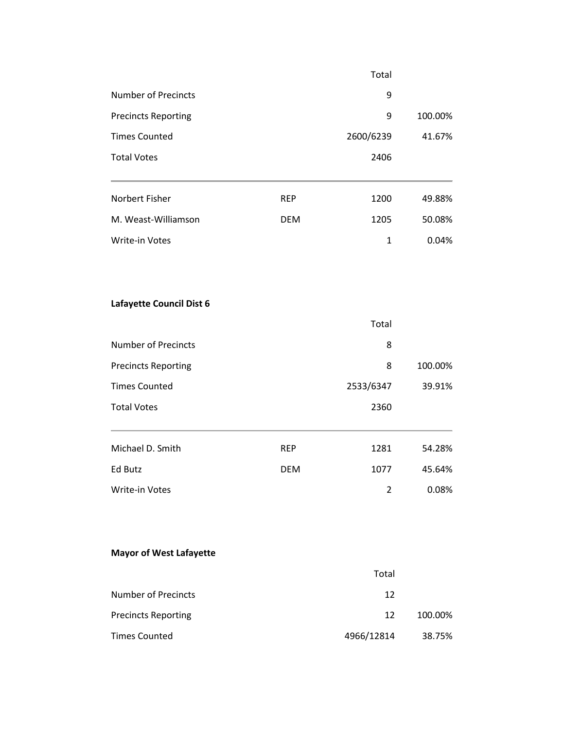|                            |            | Total     |         |
|----------------------------|------------|-----------|---------|
| Number of Precincts        |            | 9         |         |
| <b>Precincts Reporting</b> |            | 9         | 100.00% |
| <b>Times Counted</b>       |            | 2600/6239 | 41.67%  |
| <b>Total Votes</b>         |            | 2406      |         |
|                            |            |           |         |
| Norbert Fisher             | <b>REP</b> | 1200      | 49.88%  |
| M. Weast-Williamson        | <b>DEM</b> | 1205      | 50.08%  |
| <b>Write-in Votes</b>      |            | 1         | 0.04%   |
|                            |            |           |         |

### **Lafayette Council Dist 6**

|                            |            | Total     |         |
|----------------------------|------------|-----------|---------|
| <b>Number of Precincts</b> |            | 8         |         |
| <b>Precincts Reporting</b> |            | 8         | 100.00% |
| <b>Times Counted</b>       |            | 2533/6347 | 39.91%  |
| <b>Total Votes</b>         |            | 2360      |         |
| Michael D. Smith           | <b>REP</b> | 1281      | 54.28%  |
| Ed Butz                    | <b>DEM</b> | 1077      | 45.64%  |
| <b>Write-in Votes</b>      |            | 2         | 0.08%   |

## **Mayor of West Lafayette**

|                            | Total      |         |
|----------------------------|------------|---------|
| <b>Number of Precincts</b> | 12         |         |
| <b>Precincts Reporting</b> | 12         | 100.00% |
| <b>Times Counted</b>       | 4966/12814 | 38.75%  |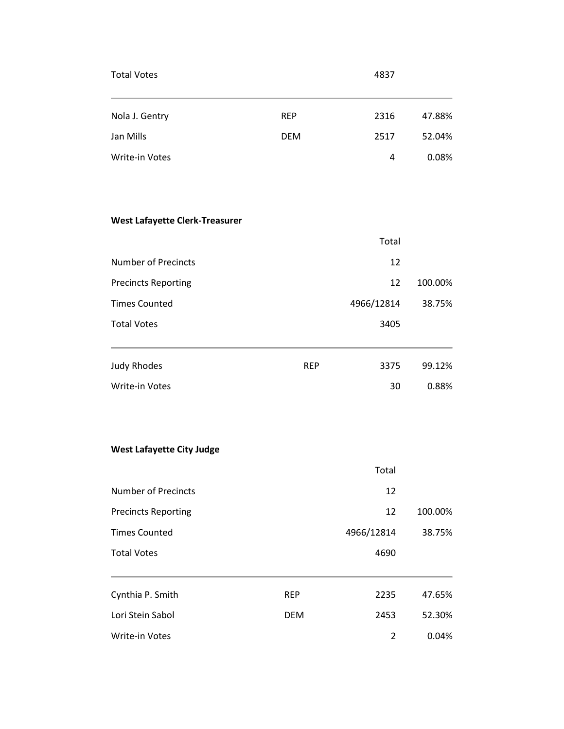| <b>Total Votes</b> |            | 4837 |        |
|--------------------|------------|------|--------|
| Nola J. Gentry     | <b>REP</b> | 2316 | 47.88% |
| Jan Mills          | <b>DEM</b> | 2517 | 52.04% |
| Write-in Votes     |            | 4    | 0.08%  |

## **West Lafayette Clerk-Treasurer**

|                            |            | Total      |         |
|----------------------------|------------|------------|---------|
| Number of Precincts        |            | 12         |         |
| <b>Precincts Reporting</b> |            | 12         | 100.00% |
| <b>Times Counted</b>       |            | 4966/12814 | 38.75%  |
| <b>Total Votes</b>         |            | 3405       |         |
| <b>Judy Rhodes</b>         | <b>REP</b> | 3375       | 99.12%  |
| <b>Write-in Votes</b>      |            | 30         | 0.88%   |

#### **West Lafayette City Judge**

|                            |            | Total      |         |
|----------------------------|------------|------------|---------|
| <b>Number of Precincts</b> |            | 12         |         |
| <b>Precincts Reporting</b> |            | 12         | 100.00% |
| <b>Times Counted</b>       |            | 4966/12814 | 38.75%  |
| <b>Total Votes</b>         |            | 4690       |         |
|                            |            |            |         |
| Cynthia P. Smith           | <b>REP</b> | 2235       | 47.65%  |
| Lori Stein Sabol           | <b>DEM</b> | 2453       | 52.30%  |
| <b>Write-in Votes</b>      |            | 2          | 0.04%   |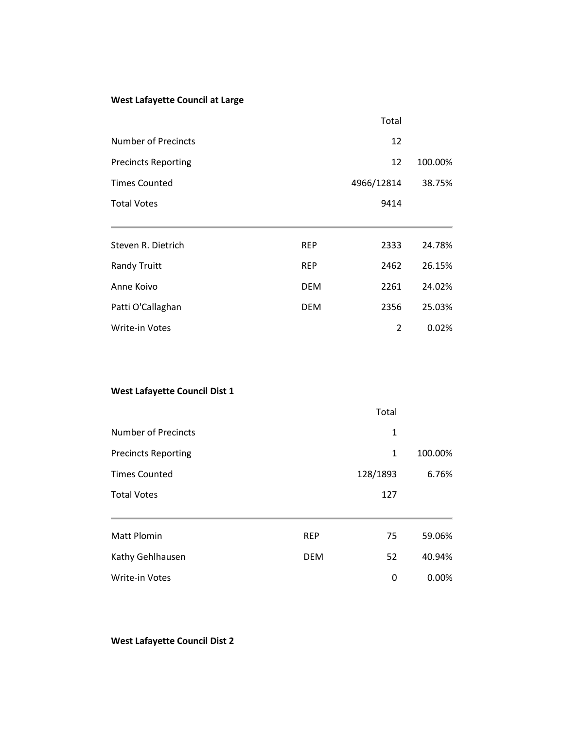#### **West Lafayette Council at Large**

|                            |            | Total          |         |
|----------------------------|------------|----------------|---------|
| <b>Number of Precincts</b> |            | 12             |         |
| <b>Precincts Reporting</b> |            | 12             | 100.00% |
| <b>Times Counted</b>       |            | 4966/12814     | 38.75%  |
| <b>Total Votes</b>         |            | 9414           |         |
|                            |            |                |         |
| Steven R. Dietrich         | <b>REP</b> | 2333           | 24.78%  |
| <b>Randy Truitt</b>        | <b>REP</b> | 2462           | 26.15%  |
| Anne Koivo                 | <b>DEM</b> | 2261           | 24.02%  |
| Patti O'Callaghan          | <b>DEM</b> | 2356           | 25.03%  |
| Write-in Votes             |            | $\overline{2}$ | 0.02%   |

#### **West Lafayette Council Dist 1**

|                            |            | Total       |         |
|----------------------------|------------|-------------|---------|
| Number of Precincts        |            | 1           |         |
| <b>Precincts Reporting</b> |            | $\mathbf 1$ | 100.00% |
| <b>Times Counted</b>       |            | 128/1893    | 6.76%   |
| <b>Total Votes</b>         |            | 127         |         |
| <b>Matt Plomin</b>         | <b>REP</b> | 75          | 59.06%  |
| Kathy Gehlhausen           | <b>DEM</b> | 52          | 40.94%  |
| <b>Write-in Votes</b>      |            | 0           | 0.00%   |

## **West Lafayette Council Dist 2**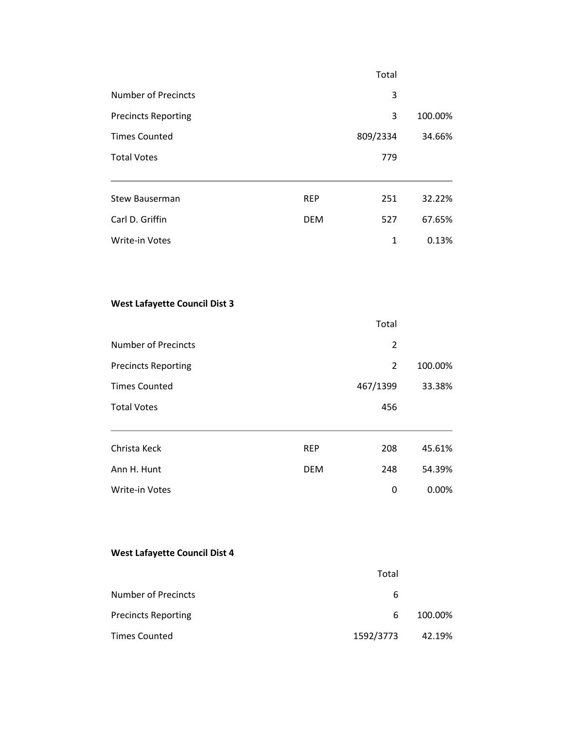|                                      |            | Total          |         |
|--------------------------------------|------------|----------------|---------|
| <b>Number of Precincts</b>           |            | 3              |         |
| <b>Precincts Reporting</b>           |            | 3              | 100.00% |
| <b>Times Counted</b>                 |            | 809/2334       | 34.66%  |
| <b>Total Votes</b>                   |            | 779            |         |
| <b>Stew Bauserman</b>                | <b>REP</b> | 251            | 32.22%  |
| Carl D. Griffin                      | <b>DEM</b> | 527            | 67.65%  |
| Write-in Votes                       |            | $\mathbf{1}$   | 0.13%   |
| <b>West Lafayette Council Dist 3</b> |            |                |         |
|                                      |            | Total          |         |
| <b>Number of Precincts</b>           |            | $\overline{2}$ |         |
| <b>Precincts Reporting</b>           |            | $\overline{2}$ | 100.00% |
| <b>Times Counted</b>                 |            | 467/1399       | 33.38%  |
| <b>Total Votes</b>                   |            | 456            |         |

| Christa Keck   | <b>RFP</b> | 208 | 45.61% |
|----------------|------------|-----|--------|
| Ann H. Hunt    | <b>DFM</b> | 248 | 54.39% |
| Write-in Votes |            | 0   | 0.00%  |

#### **West Lafayette Council Dist 4**

|                            | Total     |         |
|----------------------------|-----------|---------|
| <b>Number of Precincts</b> | 6         |         |
| <b>Precincts Reporting</b> | 6         | 100.00% |
| <b>Times Counted</b>       | 1592/3773 | 42.19%  |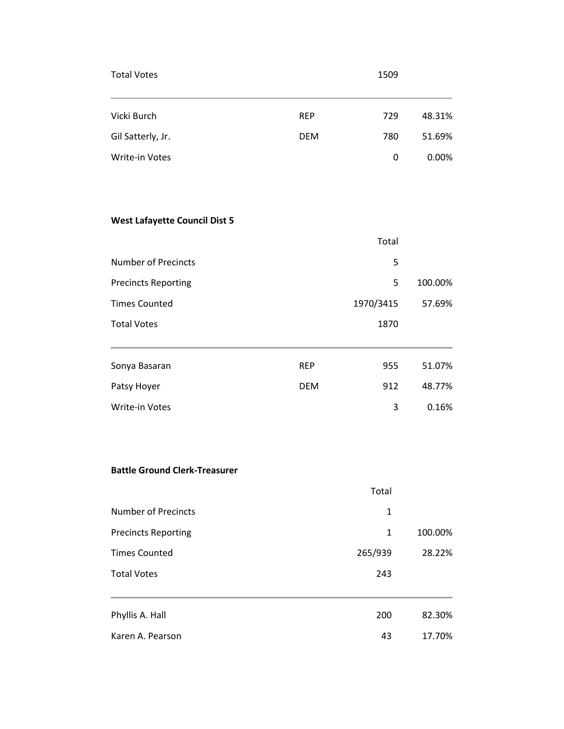| <b>Total Votes</b> |            | 1509 |        |
|--------------------|------------|------|--------|
| Vicki Burch        | <b>REP</b> | 729  | 48.31% |
| Gil Satterly, Jr.  | <b>DEM</b> | 780  | 51.69% |
| Write-in Votes     |            | 0    | 0.00%  |

## **West Lafayette Council Dist 5**

|                            |            | Total     |         |
|----------------------------|------------|-----------|---------|
| <b>Number of Precincts</b> |            | 5         |         |
| <b>Precincts Reporting</b> |            | 5         | 100.00% |
| <b>Times Counted</b>       |            | 1970/3415 | 57.69%  |
| <b>Total Votes</b>         |            | 1870      |         |
| Sonya Basaran              | <b>REP</b> | 955       | 51.07%  |
| Patsy Hoyer                | <b>DEM</b> | 912       | 48.77%  |
| <b>Write-in Votes</b>      |            | 3         | 0.16%   |

#### **Battle Ground Clerk-Treasurer**

|                            | Total   |         |
|----------------------------|---------|---------|
| <b>Number of Precincts</b> | 1       |         |
| <b>Precincts Reporting</b> | 1       | 100.00% |
| <b>Times Counted</b>       | 265/939 | 28.22%  |
| <b>Total Votes</b>         | 243     |         |
| Phyllis A. Hall            | 200     | 82.30%  |
| Karen A. Pearson           | 43      | 17.70%  |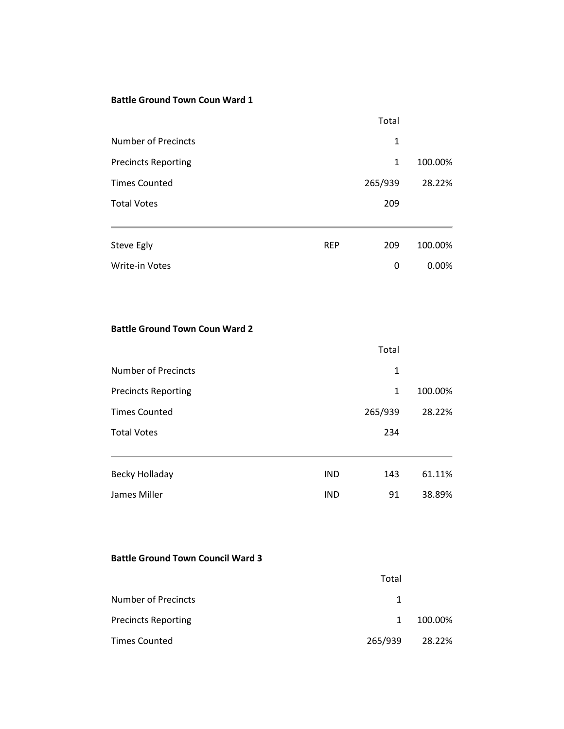#### **Battle Ground Town Coun Ward 1**

|                            |            | Total        |         |
|----------------------------|------------|--------------|---------|
| <b>Number of Precincts</b> |            | 1            |         |
| <b>Precincts Reporting</b> |            | $\mathbf{1}$ | 100.00% |
| <b>Times Counted</b>       |            | 265/939      | 28.22%  |
| <b>Total Votes</b>         |            | 209          |         |
|                            |            |              |         |
| Steve Egly                 | <b>REP</b> | 209          | 100.00% |
| <b>Write-in Votes</b>      |            | 0            | 0.00%   |

#### **Battle Ground Town Coun Ward 2**

|                            |            | Total        |         |
|----------------------------|------------|--------------|---------|
| <b>Number of Precincts</b> |            | 1            |         |
| <b>Precincts Reporting</b> |            | $\mathbf{1}$ | 100.00% |
| <b>Times Counted</b>       |            | 265/939      | 28.22%  |
| <b>Total Votes</b>         |            | 234          |         |
|                            |            |              |         |
| Becky Holladay             | <b>IND</b> | 143          | 61.11%  |
| James Miller               | <b>IND</b> | 91           | 38.89%  |

#### **Battle Ground Town Council Ward 3**

|                            | Total   |         |
|----------------------------|---------|---------|
| <b>Number of Precincts</b> |         |         |
| <b>Precincts Reporting</b> | 1       | 100.00% |
| <b>Times Counted</b>       | 265/939 | 28.22%  |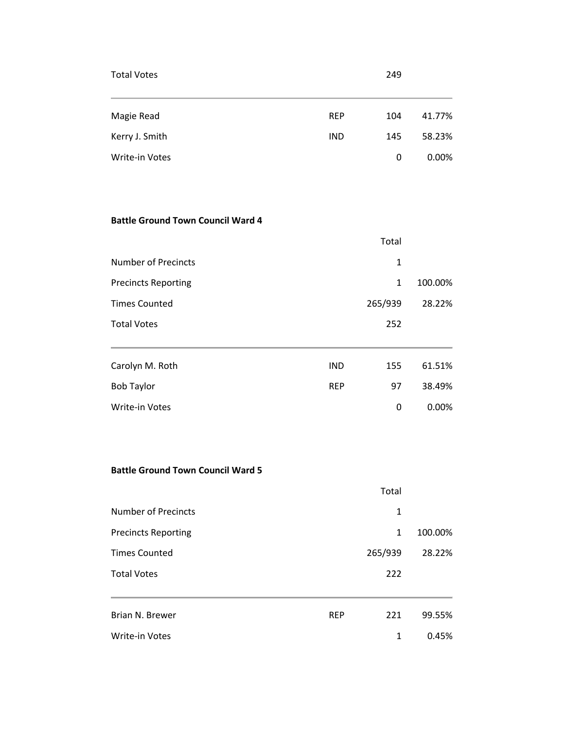| <b>Total Votes</b>    |            | 249 |        |
|-----------------------|------------|-----|--------|
| Magie Read            | <b>REP</b> | 104 | 41.77% |
| Kerry J. Smith        | <b>IND</b> | 145 | 58.23% |
| <b>Write-in Votes</b> |            | 0   | 0.00%  |

#### **Battle Ground Town Council Ward 4**

|                            |            | Total        |         |
|----------------------------|------------|--------------|---------|
| <b>Number of Precincts</b> |            | 1            |         |
| <b>Precincts Reporting</b> |            | $\mathbf{1}$ | 100.00% |
| <b>Times Counted</b>       |            | 265/939      | 28.22%  |
| <b>Total Votes</b>         |            | 252          |         |
| Carolyn M. Roth            | <b>IND</b> | 155          | 61.51%  |
| <b>Bob Taylor</b>          | <b>REP</b> | 97           | 38.49%  |
| <b>Write-in Votes</b>      |            | 0            | 0.00%   |

#### **Battle Ground Town Council Ward 5**

|                            |            | Total   |         |
|----------------------------|------------|---------|---------|
| <b>Number of Precincts</b> |            | 1       |         |
| <b>Precincts Reporting</b> |            | 1       | 100.00% |
| <b>Times Counted</b>       |            | 265/939 | 28.22%  |
| <b>Total Votes</b>         |            | 222     |         |
|                            |            |         |         |
| Brian N. Brewer            | <b>REP</b> | 221     | 99.55%  |
| <b>Write-in Votes</b>      |            | 1       | 0.45%   |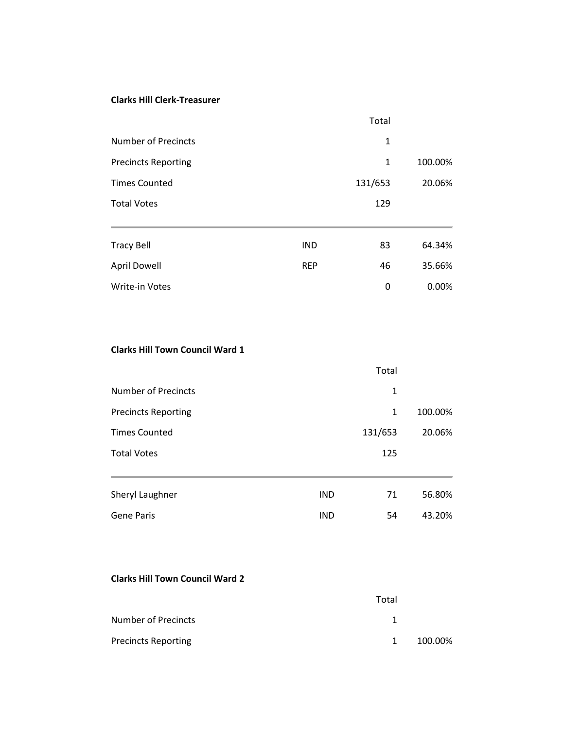#### **Clarks Hill Clerk-Treasurer**

|                            |            | Total   |         |
|----------------------------|------------|---------|---------|
| <b>Number of Precincts</b> |            | 1       |         |
| <b>Precincts Reporting</b> |            | 1       | 100.00% |
| <b>Times Counted</b>       |            | 131/653 | 20.06%  |
| <b>Total Votes</b>         |            | 129     |         |
| <b>Tracy Bell</b>          | <b>IND</b> | 83      | 64.34%  |
| <b>April Dowell</b>        | <b>REP</b> | 46      | 35.66%  |
| Write-in Votes             |            | 0       | 0.00%   |

#### **Clarks Hill Town Council Ward 1**

|                            |            | Total        |         |
|----------------------------|------------|--------------|---------|
| Number of Precincts        |            | 1            |         |
| <b>Precincts Reporting</b> |            | $\mathbf{1}$ | 100.00% |
| <b>Times Counted</b>       |            | 131/653      | 20.06%  |
| <b>Total Votes</b>         |            | 125          |         |
| <b>Sheryl Laughner</b>     | <b>IND</b> | 71           | 56.80%  |
| <b>Gene Paris</b>          | <b>IND</b> | 54           | 43.20%  |
|                            |            |              |         |

#### **Clarks Hill Town Council Ward 2**

|                            | Total        |         |
|----------------------------|--------------|---------|
| Number of Precincts        |              |         |
| <b>Precincts Reporting</b> | $\mathbf{1}$ | 100.00% |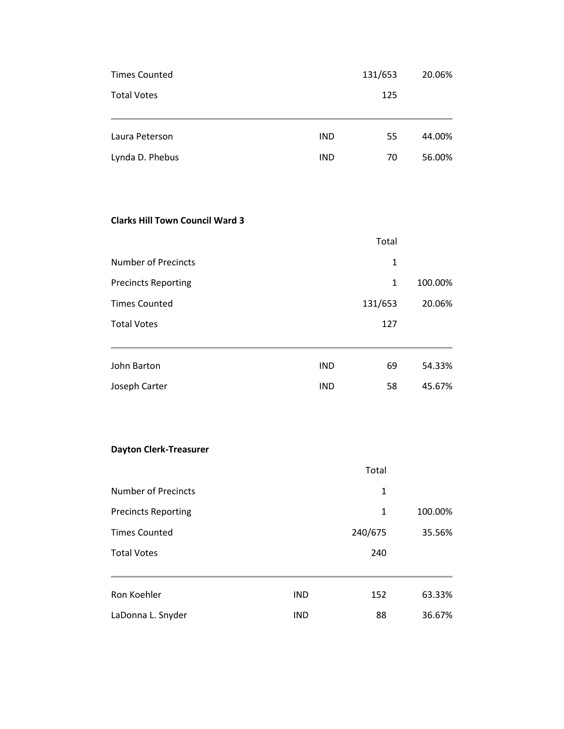| <b>Times Counted</b> |            | 131/653 | 20.06% |
|----------------------|------------|---------|--------|
| <b>Total Votes</b>   |            | 125     |        |
| Laura Peterson       | <b>IND</b> | 55      | 44.00% |
| Lynda D. Phebus      | <b>IND</b> | 70      | 56.00% |

#### **Clarks Hill Town Council Ward 3**

|                            |            | Total   |         |
|----------------------------|------------|---------|---------|
| <b>Number of Precincts</b> |            | 1       |         |
| <b>Precincts Reporting</b> |            | 1       | 100.00% |
| <b>Times Counted</b>       |            | 131/653 | 20.06%  |
| <b>Total Votes</b>         |            | 127     |         |
| John Barton                | <b>IND</b> | 69      | 54.33%  |
| Joseph Carter              | <b>IND</b> | 58      | 45.67%  |

#### **Dayton Clerk-Treasurer**

|                            |            | Total   |         |
|----------------------------|------------|---------|---------|
| <b>Number of Precincts</b> |            | 1       |         |
| <b>Precincts Reporting</b> |            | 1       | 100.00% |
| <b>Times Counted</b>       |            | 240/675 | 35.56%  |
| <b>Total Votes</b>         |            | 240     |         |
| Ron Koehler                | <b>IND</b> | 152     | 63.33%  |
| LaDonna L. Snyder          | <b>IND</b> | 88      | 36.67%  |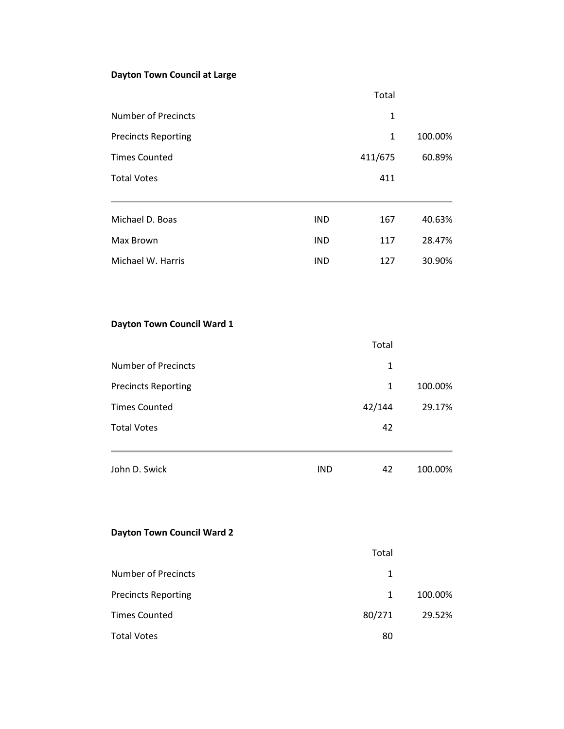## **Dayton Town Council at Large**

|                            |            | Total        |         |
|----------------------------|------------|--------------|---------|
| Number of Precincts        |            | 1            |         |
| <b>Precincts Reporting</b> |            | $\mathbf{1}$ | 100.00% |
| <b>Times Counted</b>       |            | 411/675      | 60.89%  |
| <b>Total Votes</b>         |            | 411          |         |
|                            |            |              |         |
| Michael D. Boas            | <b>IND</b> | 167          | 40.63%  |
| Max Brown                  | <b>IND</b> | 117          | 28.47%  |
| Michael W. Harris          | <b>IND</b> | 127          | 30.90%  |

### **Dayton Town Council Ward 1**

|                            |            | Total  |         |
|----------------------------|------------|--------|---------|
| <b>Number of Precincts</b> |            | 1      |         |
| <b>Precincts Reporting</b> |            | 1      | 100.00% |
| <b>Times Counted</b>       |            | 42/144 | 29.17%  |
| <b>Total Votes</b>         |            | 42     |         |
| John D. Swick              | <b>IND</b> | 42     | 100.00% |

#### **Dayton Town Council Ward 2**

|                            | Total  |         |
|----------------------------|--------|---------|
| <b>Number of Precincts</b> | 1      |         |
| <b>Precincts Reporting</b> | 1      | 100.00% |
| <b>Times Counted</b>       | 80/271 | 29.52%  |
| <b>Total Votes</b>         | 80     |         |